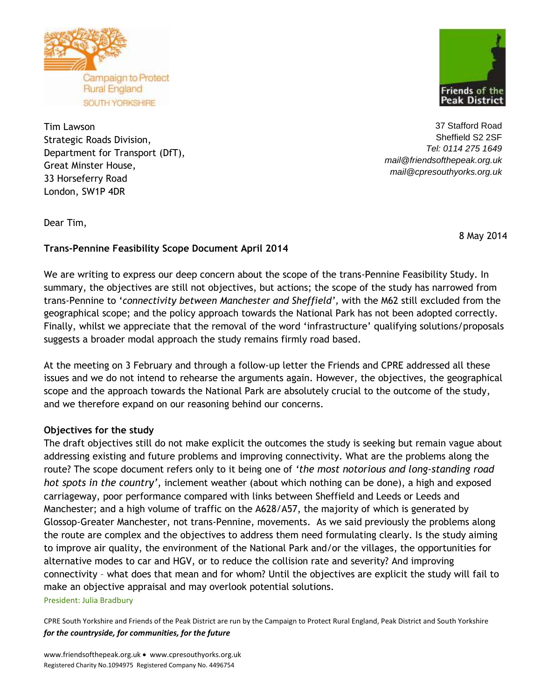

Tim Lawson Strategic Roads Division, Department for Transport (DfT), Great Minster House, 33 Horseferry Road London, SW1P 4DR



37 Stafford Road Sheffield S2 2SF *Tel: 0114 275 1649 [mail@friendsofthepeak.org.uk](mailto:mail@friendsofthepeak.org.uk) mail@cpresouthyorks.org.uk*

Dear Tim,

8 May 2014

# **Trans-Pennine Feasibility Scope Document April 2014**

We are writing to express our deep concern about the scope of the trans-Pennine Feasibility Study. In summary, the objectives are still not objectives, but actions; the scope of the study has narrowed from trans-Pennine to '*connectivity between Manchester and Sheffield',* with the M62 still excluded from the geographical scope; and the policy approach towards the National Park has not been adopted correctly. Finally, whilst we appreciate that the removal of the word 'infrastructure' qualifying solutions/proposals suggests a broader modal approach the study remains firmly road based.

At the meeting on 3 February and through a follow-up letter the Friends and CPRE addressed all these issues and we do not intend to rehearse the arguments again. However, the objectives, the geographical scope and the approach towards the National Park are absolutely crucial to the outcome of the study, and we therefore expand on our reasoning behind our concerns.

# **Objectives for the study**

The draft objectives still do not make explicit the outcomes the study is seeking but remain vague about addressing existing and future problems and improving connectivity. What are the problems along the route? The scope document refers only to it being one of *'the most notorious and long-standing road hot spots in the country'*, inclement weather (about which nothing can be done), a high and exposed carriageway, poor performance compared with links between Sheffield and Leeds or Leeds and Manchester; and a high volume of traffic on the A628/A57, the majority of which is generated by Glossop-Greater Manchester, not trans-Pennine, movements. As we said previously the problems along the route are complex and the objectives to address them need formulating clearly. Is the study aiming to improve air quality, the environment of the National Park and/or the villages, the opportunities for alternative modes to car and HGV, or to reduce the collision rate and severity? And improving connectivity – what does that mean and for whom? Until the objectives are explicit the study will fail to make an objective appraisal and may overlook potential solutions. President: Julia Bradbury

CPRE South Yorkshire and Friends of the Peak District are run by the Campaign to Protect Rural England, Peak District and South Yorkshire *for the countryside, for communities, for the future*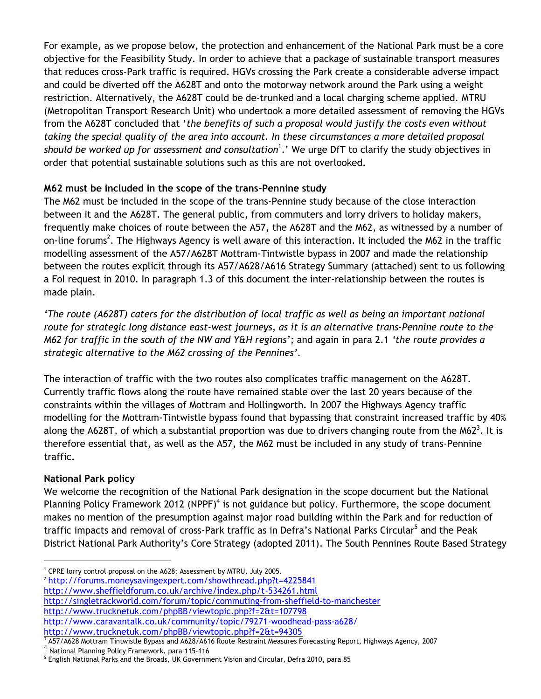For example, as we propose below, the protection and enhancement of the National Park must be a core objective for the Feasibility Study. In order to achieve that a package of sustainable transport measures that reduces cross-Park traffic is required. HGVs crossing the Park create a considerable adverse impact and could be diverted off the A628T and onto the motorway network around the Park using a weight restriction. Alternatively, the A628T could be de-trunked and a local charging scheme applied. MTRU (Metropolitan Transport Research Unit) who undertook a more detailed assessment of removing the HGVs from the A628T concluded that '*the benefits of such a proposal would justify the costs even without taking the special quality of the area into account. In these circumstances a more detailed proposal should be worked up for assessment and consultation*<sup>1</sup> .' We urge DfT to clarify the study objectives in order that potential sustainable solutions such as this are not overlooked.

# **M62 must be included in the scope of the trans-Pennine study**

The M62 must be included in the scope of the trans-Pennine study because of the close interaction between it and the A628T. The general public, from commuters and lorry drivers to holiday makers, frequently make choices of route between the A57, the A628T and the M62, as witnessed by a number of on-line forums<sup>2</sup>. The Highways Agency is well aware of this interaction. It included the M62 in the traffic modelling assessment of the A57/A628T Mottram-Tintwistle bypass in 2007 and made the relationship between the routes explicit through its A57/A628/A616 Strategy Summary (attached) sent to us following a FoI request in 2010. In paragraph 1.3 of this document the inter-relationship between the routes is made plain.

*'The route (A628T) caters for the distribution of local traffic as well as being an important national route for strategic long distance east-west journeys, as it is an alternative trans-Pennine route to the M62 for traffic in the south of the NW and Y&H regions';* and again in para 2.1 *'the route provides a strategic alternative to the M62 crossing of the Pennines'.*

The interaction of traffic with the two routes also complicates traffic management on the A628T. Currently traffic flows along the route have remained stable over the last 20 years because of the constraints within the villages of Mottram and Hollingworth. In 2007 the Highways Agency traffic modelling for the Mottram-Tintwistle bypass found that bypassing that constraint increased traffic by 40% along the A628T, of which a substantial proportion was due to drivers changing route from the M62<sup>3</sup>. It is therefore essential that, as well as the A57, the M62 must be included in any study of trans-Pennine traffic.

# **National Park policy**

l

We welcome the recognition of the National Park designation in the scope document but the National Planning Policy Framework 2012 (NPPF)<sup>4</sup> is not guidance but policy. Furthermore, the scope document makes no mention of the presumption against major road building within the Park and for reduction of traffic impacts and removal of cross-Park traffic as in Defra's National Parks Circular<sup>5</sup> and the Peak District National Park Authority's Core Strategy (adopted 2011). The South Pennines Route Based Strategy

<sup>2</sup> <http://forums.moneysavingexpert.com/showthread.php?t=4225841>

- <http://www.sheffieldforum.co.uk/archive/index.php/t-534261.html>
- <http://singletrackworld.com/forum/topic/commuting-from-sheffield-to-manchester> <http://www.trucknetuk.com/phpBB/viewtopic.php?f=2&t=107798>
- <http://www.caravantalk.co.uk/community/topic/79271-woodhead-pass-a628/>

<http://www.trucknetuk.com/phpBB/viewtopic.php?f=2&t=94305>

 $3$  A57/A628 Mottram Tintwistle Bypass and A628/A616 Route Restraint Measures Forecasting Report, Highways Agency, 2007

4 National Planning Policy Framework, para 115-116

<sup>&</sup>lt;sup>1</sup> CPRE lorry control proposal on the A628; Assessment by MTRU, July 2005.

 $^5$  English National Parks and the Broads, UK Government Vision and Circular, Defra 2010, para 85